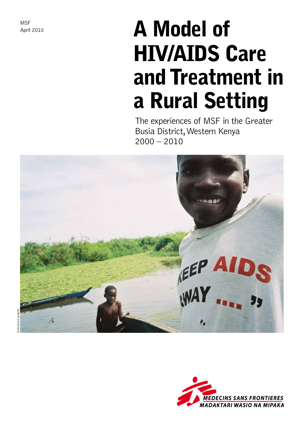**MSF** April 2010

# A Model of HIV/AIDS Care and Treatment in a Rural Setting

The experiences of MSF in the Greater Busia District, Western Kenya  $2000 - 2010$ 



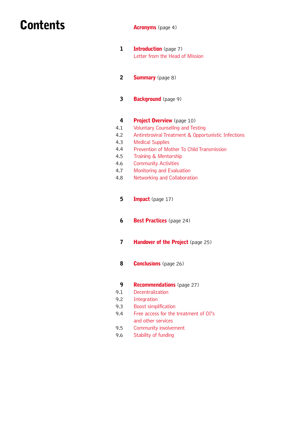### **Contents**

Acronyms (page 4)

- 1 Introduction (page 7) Letter from the Head of Mission
- 2 Summary (page 8)
- 3 Background (page 9)

#### 4 Project Overview (page 10)

- 4.1 Voluntary Counselling and Testing
- 4.2 Antiretroviral Treatment & Opportunistic Infections
- 4.3 Medical Supplies
- 4.4 Prevention of Mother To Child Transmission
- 4.5 Training & Mentorship
- 4.6 Community Activities
- 4.7 Monitoring and Evaluation
- 4.8 Networking and Collaboration
	- 5 Impact (page 17)
	- 6 Best Practices (page 24)
	- 7 Handover of the Project (page 25)
	- 8 **Conclusions** (page 26)
	- 9 Recommendations (page 27)
- 9.1 **Decentralization**
- 9.2 Integration
- 9.3 Boost simplification
- 9.4 Free access for the treatment of OI's and other services
- 9.5 Community involvement
- 9.6 Stability of funding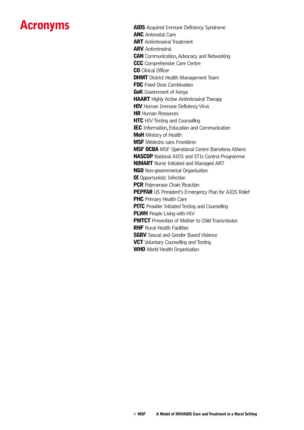### Acronyms

**AIDS** Acquired Immune Deficiency Syndrome **ANC** Antenatal Care **ART** Antiretroviral Treatment **ARV** Antiretroviral **CAN** Communication, Advocacy and Networking CCC Comprehensive Care Centre **CO** Clinical Officer **DHMT** District Health Management Team **FDC** Fixed Dose Combination GoK Government of Kenya **HAART** Highly Active Antiretroviral Therapy **HIV** Human Immune Deficiency Virus **HR** Human Resources **HTC** HIV Testing and Counselling IEC Information, Education and Communication **MoH** Ministry of Health MSF Médecins sans Frontières **MSF OCBA** MSF Operational Centre Barcelona Athens NASCOP National AIDS and STIs Control Programme **NIMART** Nurse Initiated and Managed ART **NGO** Non-governmental Organisation **OI** Opportunistic Infection **PCR** Polymerase Chain Reaction PEPFAR US President's Emergency Plan for AIDS Relief **PHC** Primary Health Care **PITC** Provider Initiated Testing and Counselling **PLWH** People Living with HIV **PMTCT** Prevention of Mother to Child Transmission **RHF** Rural Health Facilities **SGBV** Sexual and Gender Based Violence **VCT** Voluntary Counselling and Testing WHO World Health Organisation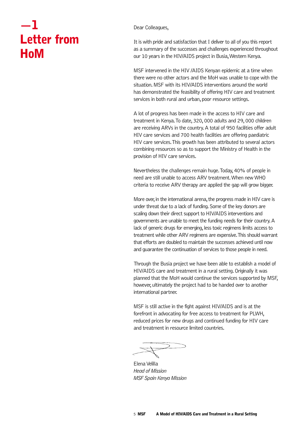### —1 Letter from HoM

Dear Colleagues,

It is with pride and satisfaction that I deliver to all of you this report as a summary of the successes and challenges experienced throughout our 10 years in the HIV/AIDS project in Busia, Western Kenya.

MSF intervened in the HIV /AIDS Kenyan epidemic at a time when there were no other actors and the MoH was unable to cope with the situation. MSF with its HIV/AIDS interventions around the world has demonstrated the feasibility of offering HIV care and treatment services in both rural and urban, poor resource settings.

A lot of progress has been made in the access to HIV care and treatment in Kenya. To date, 320, 000 adults and 29, 000 children are receiving ARVs in the country. A total of 950 facilities offer adult HIV care services and 700 health facilities are offering paediatric HIV care services. This growth has been attributed to several actors combining resources so as to support the Ministry of Health in the provision of HIV care services.

Nevertheless the challenges remain huge. Today, 40% of people in need are still unable to access ARV treatment. When new WHO criteria to receive ARV therapy are applied the gap will grow bigger.

More over, in the international arena, the progress made in HIV care is under threat due to a lack of funding. Some of the key donors are scaling down their direct support to HIV/AIDS interventions and governments are unable to meet the funding needs for their country. A lack of generic drugs for emerging, less toxic regimens limits access to treatment while other ARV regimens are expensive. This should warrant that efforts are doubled to maintain the successes achieved until now and guarantee the continuation of services to those people in need.

Through the Busia project we have been able to establish a model of HIV/AIDS care and treatment in a rural setting. Originally it was planned that the MoH would continue the services supported by MSF, however, ultimately the project had to be handed over to another international partner.

MSF is still active in the fight against HIV/AIDS and is at the forefront in advocating for free access to treatment for PLWH, reduced prices for new drugs and continued funding for HIV care and treatment in resource limited countries.

Elena Velilla *Head of Mission MSF Spain Kenya Mission*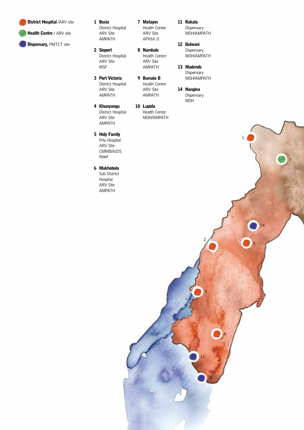

Health Centre / ARV site

Dispensary, PMTCT site

- 1 Busia District Hospital ARV Site AMPATH
- 2 Sioport District Hospital ARV Site **MSF**
- Port Victoria 3 District Hospital ARV Site AMPATH
- 4 Khunyangu District Hospital ARV Site AMPATH
- 5 Holy Family Priv. Hospital ARV Site CMMB/AIDS Relief
- Mukhobola 6 Sub District Hospital ARV Site AMPATH
- Matayos 7 Health Center ARV Site APHIA II
- Nambale 8 Health Centre ARV Site AMPATH
- Bumala B 9 Health Centre ARV Site AMPATH
- Lupida 10 Health Center MOH/AMPATH
- Rukala 11 Dispensary MOH/AMPATH
- 12 Bulwani Dispensary MOH/AMPATH
- 13 Madende Dispensary MOH/AMPATH
- 14 Nangina Dispensary MOH

2

3

11

12

6

1

7

5

14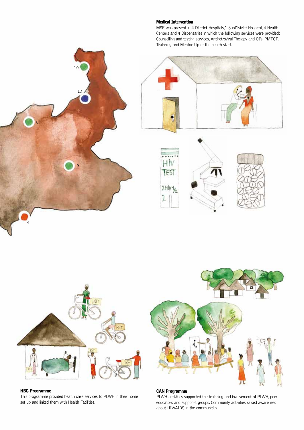#### Medical Intervention

MSF was present in 4 District Hospitals,1 SubDistrict Hospital, 4 Health Centers and 4 Dispensaries in which the folllowing services were provided: Counselling and testing services, Antiretroviral Therapy and OI's, PMTCT, Trainning and Mentorship of the health staff.









 $\circ$ 

10

13

#### HBC Programme

4

8

This programme provided health care services to PLWH in their home set up and linked them with Health Facilities.



#### CAN Programme

PLWH activities supported the trainning and involvement of PLWH, peer educators and suppport groups. Community activities raised awareness about HIV/AIDS in the communities.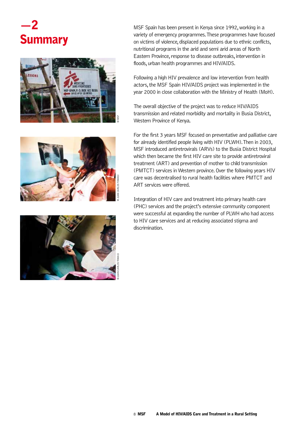### $-2$ **Summary**







MSF Spain has been present in Kenya since 1992, working in a variety of emergency programmes. These programmes have focused on victims of violence, displaced populations due to ethnic conflicts, nutritional programs in the arid and semi arid areas of North Eastern Province, response to disease outbreaks, intervention in floods, urban health programmes and HIV/AIDS.

Following a high HIV prevalence and low intervention from health actors, the MSF Spain HIV/AIDS project was implemented in the year 2000 in close collaboration with the Ministry of Health (MoH).

The overall objective of the project was to reduce HIV/AIDS transmission and related morbidity and mortality in Busia District, Western Province of Kenya.

For the first 3 years MSF focused on preventative and palliative care for already identified people living with HIV (PLWH). Then in 2003, MSF introduced antiretrovirals (ARVs) to the Busia District Hospital which then became the first HIV care site to provide antiretroviral treatment (ART) and prevention of mother to child transmission (PMTCT) services in Western province. Over the following years HIV care was decentralised to rural health facilities where PMTCT and ART services were offered.

Integration of HIV care and treatment into primary health care (PHC) services and the project's extensive community component were successful at expanding the number of PLWH who had access to HIV care services and at reducing associated stigma and discrimination.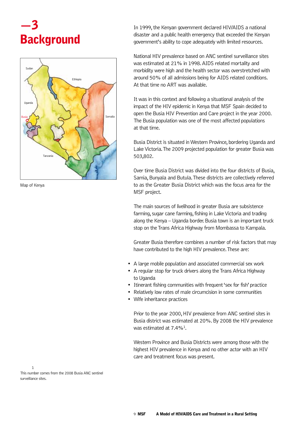### —3 **Background**



Map of Kenya

In 1999, the Kenyan government declared HIV/AIDS a national disaster and a public health emergency that exceeded the Kenyan government's ability to cope adequately with limited resources.

National HIV prevalence based on ANC sentinel surveillance sites was estimated at 21% in 1998. AIDS related mortality and morbidity were high and the health sector was overstretched with around 50% of all admissions being for AIDS related conditions. At that time no ART was available.

It was in this context and following a situational analysis of the impact of the HIV epidemic in Kenya that MSF Spain decided to open the Busia HIV Prevention and Care project in the year 2000. The Busia population was one of the most affected populations at that time.

Busia District is situated in Western Province, bordering Uganda and Lake Victoria. The 2009 projected population for greater Busia was 503,802.

Over time Busia District was divided into the four districts of Busia, Samia, Bunyala and Butula. These districts are collectively referred to as the Greater Busia District which was the focus area for the MSF project.

The main sources of livelihood in greater Busia are subsistence farming, sugar cane farming, fishing in Lake Victoria and trading along the Kenya – Uganda border. Busia town is an important truck stop on the Trans Africa Highway from Mombassa to Kampala.

Greater Busia therefore combines a number of risk factors that may have contributed to the high HIV prevalence. These are:

- A large mobile population and associated commercial sex work
- A regular stop for truck drivers along the Trans Africa Highway to Uganda
- Itinerant fishing communities with frequent 'sex for fish' practice
- Relatively low rates of male circumcision in some communities
- Wife inheritance practices

Prior to the year 2000, HIV prevalence from ANC sentinel sites in Busia district was estimated at 20%. By 2008 the HIV prevalence was estimated at 7.4%<sup>1</sup>

Western Province and Busia Districts were among those with the highest HIV prevalence in Kenya and no other actor with an HIV care and treatment focus was present.

1

This number comes from the 2008 Busia ANC sentinel surveillance sites.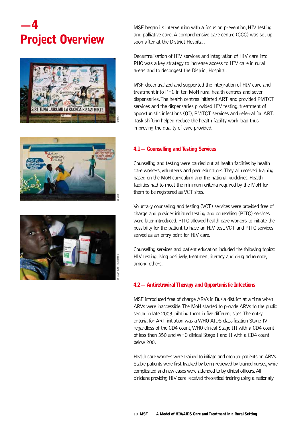### —4 Project Overview







MSF began its intervention with a focus on prevention, HIV testing and palliative care. A comprehensive care centre (CCC) was set up soon after at the District Hospital.

Decentralisation of HIV services and integration of HIV care into PHC was a key strategy to increase access to HIV care in rural areas and to decongest the District Hospital.

MSF decentralized and supported the integration of HIV care and treatment into PHC in ten MoH rural health centres and seven dispensaries. The health centres initiated ART and provided PMTCT services and the dispensaries provided HIV testing, treatment of opportunistic infections (OI), PMTCT services and referral for ART. Task shifting helped reduce the health facility work load thus improving the quality of care provided.

#### 4.1— Counselling and Testing Services

Counselling and testing were carried out at health facilities by health care workers, volunteers and peer educators. They all received training based on the MoH curriculum and the national guidelines. Health facilities had to meet the minimum criteria required by the MoH for them to be registered as VCT sites.

Voluntary counselling and testing (VCT) services were provided free of charge and provider initiated testing and counselling (PITC) services were later introduced. PITC allowed health care workers to initiate the possibility for the patient to have an HIV test. VCT and PITC services served as an entry point for HIV care.

Counselling services and patient education included the following topics: HIV testing, living positively, treatment literacy and drug adherence, among others.

#### 4.2— Antiretroviral Therapy and Opportunistic Infections

MSF introduced free of charge ARVs in Busia district at a time when ARVs were inaccessible. The MoH started to provide ARVs to the public sector in late 2003, piloting them in five different sites. The entry criteria for ART initiation was a WHO AIDS classification Stage IV regardless of the CD4 count, WHO clinical Stage III with a CD4 count of less than 350 and WHO clinical Stage I and II with a CD4 count below 200.

Health care workers were trained to initiate and monitor patients on ARVs. Stable patients were first tracked by being reviewed by trained nurses, while complicated and new cases were attended to by clinical officers. All clinicians providing HIV care received theoretical training using a nationally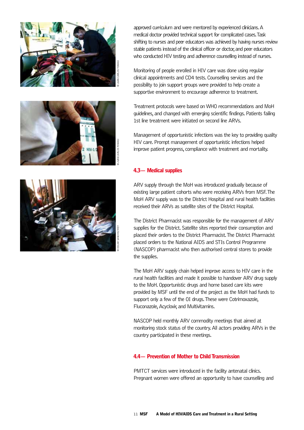



approved curriculum and were mentored by experienced clinicians. A medical doctor provided technical support for complicated cases. Task shifting to nurses and peer educators was achieved by having nurses review stable patients instead of the clinical officer or doctor, and peer educators who conducted HIV testing and adherence counselling instead of nurses.

Monitoring of people enrolled in HIV care was done using regular clinical appointments and CD4 tests. Counselling services and the possibility to join support groups were provided to help create a supportive environment to encourage adherence to treatment.

Treatment protocols were based on WHO recommendations and MoH guidelines, and changed with emerging scientific findings. Patients failing 1st line treatment were initiated on second line ARVs.

Management of opportunistic infections was the key to providing quality HIV care. Prompt management of opportunistic infections helped improve patient progress, compliance with treatment and mortality.

#### 4.3— Medical supplies

ARV supply through the MoH was introduced gradually because of existing large patient cohorts who were receiving ARVs from MSF. The MoH ARV supply was to the District Hospital and rural health facilities received their ARVs as satellite sites of the District Hospital.

The District Pharmacist was responsible for the management of ARV supplies for the District. Satellite sites reported their consumption and placed their orders to the District Pharmacist. The District Pharmacist placed orders to the National AIDS and STIs Control Programme (NASCOP) pharmacist who then authorised central stores to provide the supplies.

The MoH ARV supply chain helped improve access to HIV care in the rural health facilities and made it possible to handover ARV drug supply to the MoH. Opportunistic drugs and home based care kits were provided by MSF until the end of the project as the MoH had funds to support only a few of the OI drugs. These were Cotrimoxazole. Fluconazole, Acyclovir, and Multivitamins.

NASCOP held monthly ARV commodity meetings that aimed at monitoring stock status of the country. All actors providing ARVs in the country participated in these meetings.

#### 4.4— Prevention of Mother to Child Transmission

PMTCT services were introduced in the facility antenatal clinics. Pregnant women were offered an opportunity to have counselling and

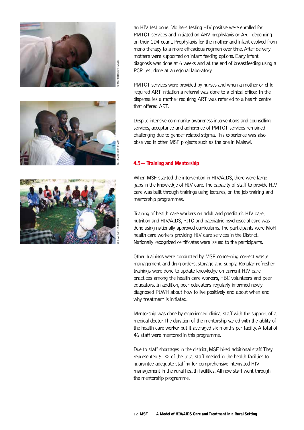





an HIV test done. Mothers testing HIV positive were enrolled for PMTCT services and initiated on ARV prophylaxis or ART depending on their CD4 count. Prophylaxis for the mother and infant evolved from mono therapy to a more efficacious regimen over time. After delivery mothers were supported on infant feeding options. Early infant diagnosis was done at 6 weeks and at the end of breastfeeding using a PCR test done at a regional laboratory.

PMTCT services were provided by nurses and when a mother or child required ART initiation a referral was done to a clinical officer. In the dispensaries a mother requiring ART was referred to a health centre that offered ART.

Despite intensive community awareness interventions and counselling services, acceptance and adherence of PMTCT services remained challenging due to gender related stigma. This experience was also observed in other MSF projects such as the one in Malawi.

#### 4.5— Training and Mentorship

When MSF started the intervention in HIV/AIDS, there were large gaps in the knowledge of HIV care. The capacity of staff to provide HIV care was built through trainings using lectures, on the job training and mentorship programmes.

Training of health care workers on adult and paediatric HIV care, nutrition and HIV/AIDS, PITC and paediatric psychosocial care was done using nationally approved curriculums. The participants were MoH health care workers providing HIV care services in the District. Nationally recognized certificates were issued to the participants.

Other trainings were conducted by MSF concerning correct waste management and drug orders, storage and supply. Regular refresher trainings were done to update knowledge on current HIV care practices among the health care workers, HBC volunteers and peer educators. In addition, peer educators regularly informed newly diagnosed PLWH about how to live positively and about when and why treatment is initiated.

Mentorship was done by experienced clinical staff with the support of a medical doctor. The duration of the mentorship varied with the ability of the health care worker but it averaged six months per facility. A total of 46 staff were mentored in this programme.

Due to staff shortages in the district, MSF hired additional staff. They represented 51% of the total staff needed in the health facilities to guarantee adequate staffing for comprehensive integrated HIV management in the rural health facilities. All new staff went through the mentorship programme.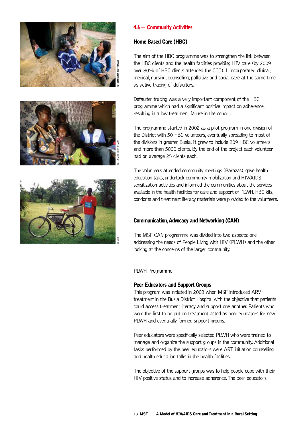





#### 4.6— Community Activities

#### Home Based Care (HBC)

The aim of the HBC programme was to strengthen the link between the HBC clients and the health facilities providing HIV care (by 2009 over 80% of HBC clients attended the CCC). It incorporated clinical, medical, nursing, counselling, palliative and social care at the same time as active tracing of defaulters.

Defaulter tracing was a very important component of the HBC programme which had a significant positive impact on adherence, resulting in a low treatment failure in the cohort.

The programme started in 2002 as a pilot program in one division of the District with 50 HBC volunteers, eventually spreading to most of the divisions in greater Busia. It grew to include 209 HBC volunteers and more than 5000 clients. By the end of the project each volunteer had on average 25 clients each.

The volunteers attended community meetings (Barazas), gave health education talks, undertook community mobilization and HIV/AIDS sensitization activities and informed the communities about the services available in the health facilities for care and support of PLWH. HBC kits, condoms and treatment literacy materials were provided to the volunteers.

#### Communication, Advocacy and Networking (CAN)

The MSF CAN programme was divided into two aspects: one addressing the needs of People Living with HIV (PLWH) and the other looking at the concerns of the larger community.

#### PLWH Programme

#### Peer Educators and Support Groups

This program was initiated in 2003 when MSF introduced ARV treatment in the Busia District Hospital with the objective that patients could access treatment literacy and support one another. Patients who were the first to be put on treatment acted as peer educators for new PLWH and eventually formed support groups.

Peer educators were specifically selected PLWH who were trained to manage and organize the support groups in the community. Additional tasks performed by the peer educators were ART initiation counselling and health education talks in the health facilities.

The objective of the support groups was to help people cope with their HIV positive status and to increase adherence. The peer educators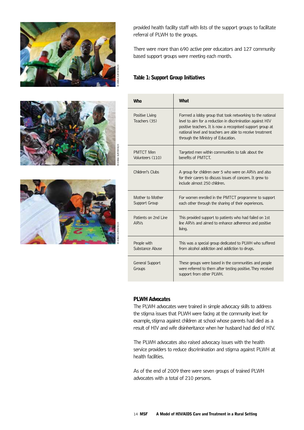





provided health facility staff with lists of the support groups to facilitate referral of PLWH to the groups.

There were more than 690 active peer educators and 127 community based support groups were meeting each month.

#### Table 1: Support Group Initiatives

| Whn                                  | <b>What</b>                                                                                                                                                                                                                                                                              |
|--------------------------------------|------------------------------------------------------------------------------------------------------------------------------------------------------------------------------------------------------------------------------------------------------------------------------------------|
| Positive Living<br>Teachers (35)     | Formed a lobby group that took networking to the national<br>level to aim for a reduction in discrimination against HIV<br>positive teachers. It is now a recognised support group at<br>national level and teachers are able to receive treatment<br>through the Ministry of Education. |
| <b>PMTCT Men</b><br>Volunteers (110) | Targeted men within communities to talk about the<br>benefits of PMTCT.                                                                                                                                                                                                                  |
| Children's Clubs                     | A group for children over 5 who were on ARVs and also<br>for their carers to discuss issues of concern. It grew to<br>include almost 250 children.                                                                                                                                       |
| Mother to Mother<br>Support Group    | For women enrolled in the PMTCT programme to support<br>each other through the sharing of their experiences.                                                                                                                                                                             |
| Patients on 2nd Line<br><b>ARVs</b>  | This provided support to patients who had failed on 1st<br>line ARVs and aimed to enhance adherence and positive<br>living.                                                                                                                                                              |
| People with<br>Substance Abuse       | This was a special group dedicated to PLWH who suffered<br>from alcohol addiction and addiction to drugs.                                                                                                                                                                                |
| General Support<br>Groups            | These groups were based in the communities and people<br>were referred to them after testing positive. They received<br>support from other PLWH.                                                                                                                                         |

#### PLWH Advocates

The PLWH advocates were trained in simple advocacy skills to address the stigma issues that PLWH were facing at the community level: for example, stigma against children at school whose parents had died as a result of HIV and wife disinheritance when her husband had died of HIV.

The PLWH advocates also raised advocacy issues with the health service providers to reduce discrimination and stigma against PLWH at health facilities.

As of the end of 2009 there were seven groups of trained PLWH advocates with a total of 210 persons.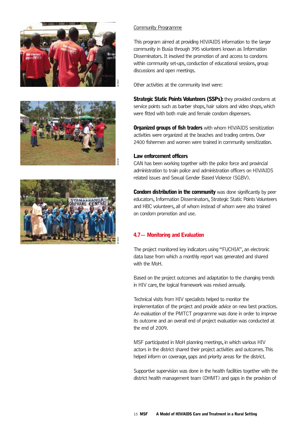





#### Community Programme

This program aimed at providing HIV/AIDS information to the larger community in Busia through 395 volunteers known as Information Disseminators. It involved the promotion of and access to condoms within community set-ups, conduction of educational sessions, group discussions and open meetings.

Other activities at the community level were:

Strategic Static Points Volunteers (SSPs): they provided condoms at service points such as barber shops, hair salons and video shops, which were fitted with both male and female condom dispensers.

**Organized groups of fish traders** with whom HIV/AIDS sensitization activities were organized at the beaches and trading centres. Over 2400 fishermen and women were trained in community sensitization.

#### Law enforcement officers

CAN has been working together with the police force and provincial administration to train police and administration officers on HIV/AIDS related issues and Sexual Gender Based Violence (SGBV).

**Condom distribution in the community** was done significantly by peer educators, Information Disseminators, Strategic Static Points Volunteers and HBC volunteers, all of whom instead of whom were also trained on condom promotion and use.

#### 4.7— Monitoring and Evaluation

The project monitored key indicators using "FUCHIA", an electronic data base from which a monthly report was generated and shared with the MoH.

Based on the project outcomes and adaptation to the changing trends in HIV care, the logical framework was revised annually.

Technical visits from HIV specialists helped to monitor the implementation of the project and provide advice on new best practices. An evaluation of the PMTCT programme was done in order to improve its outcome and an overall end of project evaluation was conducted at the end of 2009.

MSF participated in MoH planning meetings, in which various HIV actors in the district shared their project activities and outcomes. This helped inform on coverage, gaps and priority areas for the district.

Supportive supervision was done in the health facilities together with the district health management team (DHMT) and gaps in the provision of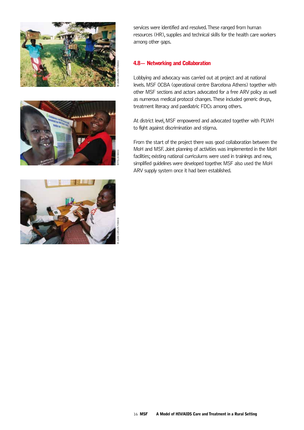





services were identified and resolved. These ranged from human resources (HR), supplies and technical skills for the health care workers among other gaps.

#### 4.8— Networking and Collaboration

Lobbying and advocacy was carried out at project and at national levels. MSF OCBA (operational centre Barcelona Athens) together with other MSF sections and actors advocated for a free ARV policy as well as numerous medical protocol changes. These included generic drugs, treatment literacy and paediatric FDCs among others.

At district level, MSF empowered and advocated together with PLWH to fight against discrimination and stigma.

From the start of the project there was good collaboration between the MoH and MSF. Joint planning of activities was implemented in the MoH facilities; existing national curriculums were used in trainings and new, simplified guidelines were developed together. MSF also used the MoH ARV supply system once it had been established.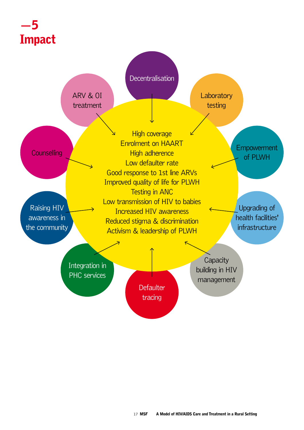### —5 Impact

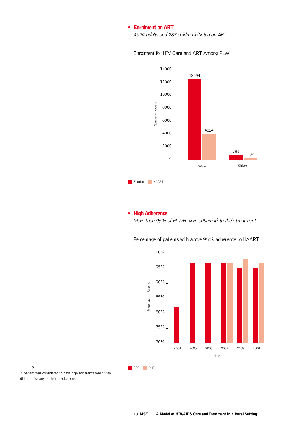#### • Enrolment on ART

*4024 adults and 287 children initiated on ART*





#### • High Adherence

More than 95% of PLWH were adherent<sup>2</sup> to their treatment

Percentage of patients with above 95% adherence to HAART



A patient was considered to have high adherence when they did not miss any of their medications.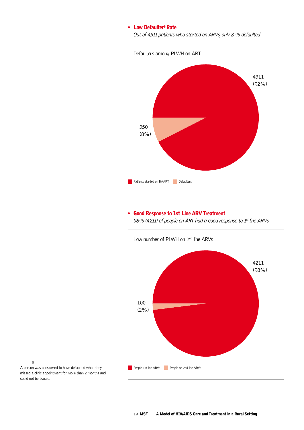#### • Low Defaulter<sup>3</sup> Rate

*Out of 4311 patients who started on ARVs, only 8 % defaulted*



#### • Good Response to 1st Line ARV Treatment

*98% (4211) of people on ART had a good response to 1st line ARVs*



3

A person was considered to have defaulted when they missed a clinic appointment for more than 2 months and could not be traced.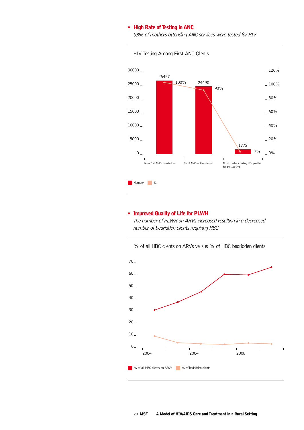#### • High Rate of Testing in ANC

*93% of mothers attending ANC services were tested for HIV*



#### HIV Testing Among First ANC Clients

#### • Improved Quality of Life for PLWH

*The number of PLWH on ARVs increased resulting in a decreased number of bedridden clients requiring HBC*



% of all HBC clients on ARVs versus % of HBC bedridden clients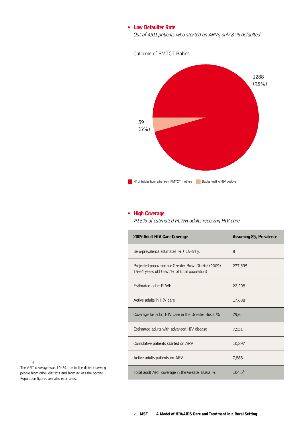#### • Low Defaulter Rate

*Out of 4311 patients who started on ARVs, only 8 % defaulted*



#### • High Coverage

*79.6% of estimated PLWH adults receiving HIV care*

| 2009 Adult HIV Care Coverage                                                                          | <b>Assuming 8% Prevalence</b> |
|-------------------------------------------------------------------------------------------------------|-------------------------------|
| Sero-prevalence estimates % (15-64 y)                                                                 | 8                             |
| Projected population for Greater Busia District (2009)<br>15-64 years old (55.1% of total population) | 277,595                       |
| <b>Estimated adult PLWH</b>                                                                           | 22,208                        |
| Active adults in HTV care                                                                             | 17,688                        |
| Coverage for adult HIV care in the Greater Busia %                                                    | 79,6                          |
| Estimated adults with advanced HIV disease                                                            | 7,551                         |
| Cumulative patients started on ARV                                                                    | 10,897                        |
| Active adults patients on ARV                                                                         | 7,888                         |
| Total adult ART coverage in the Greater Busia %                                                       | $104.5^{4}$                   |

4

The ART coverage was 104% due to the district serving people from other districts and from across the border. Population figures are also estimates.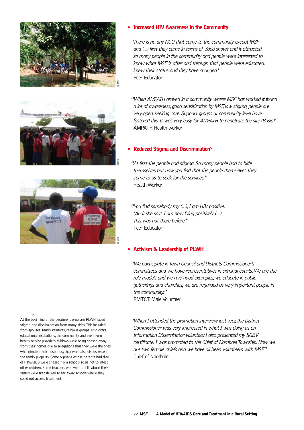





#### • Increased HIV Awareness in the Community

*"There is no any NGO that came to the community except MSF and (...) first they came in terms of video shows and it attracted so many people in the community and people were interested to know what MSF is after and through that people were educated, knew their status and they have changed."* Peer Educator

*"When AMPATH arrived in a community where MSF has worked it found a lot of awareness, good sensitization by MSF, low stigma, people are very open, seeking care. Support groups at community level have fostered this. It was very easy for AMPATH to penetrate the site (Busia)"* AMPATH Health worker

#### • Reduced Stigma and Discrimination5

*"At first the people had stigma. So many people had to hide themselves but now you find that the people themselves they come to us to seek for the services."*  Health Worker

*"You find somebody say (…), I am HIV positive. (And) she says I am now living positively. (…) This was not there before."* Peer Educator

#### • Activism & Leadership of PLWH

*"We participate in Town Council and Districts Commissioner's committees and we have representatives in criminal courts. We are the role models and we give good examples, we educate in public gatherings and churches, we are regarded as very important people in the community."* PMTCT Male Volunteer

*"When I attended the promotion interview last year, the District Commissioner was very impressed in what I was doing as an Information Disseminator volunteer. I also presented my SGBV certificate. I was promoted to the Chief of Nambale Township. Now we are two female chiefs and we have all been volunteers with MSF"* Chief of Nambale

5

At the beginning of the treatment program PLWH faced stigma and discrimination from many sides. This included from spouses, family, relatives, religious groups, employers, educational institutions, the community and even from health service providers. Widows were being chased away from their homes due to allegations that they were the ones who infected their husbands; they were also dispossessed of the family property. Some orphans whose parents had died of HIV/AIDS were chased from schools so as not to infect other children. Some teachers who went public about their status were transferred to far away schools where they could not access treatment.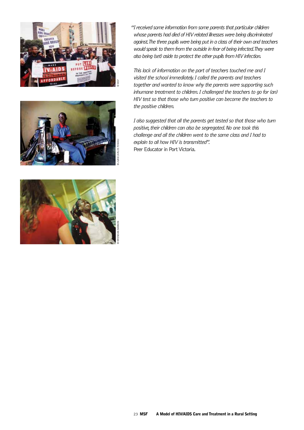



© Brendan Bannon

*"I received some information from some parents that particular children whose parents had died of HIV related illnesses were being discriminated against. The three pupils were being put in a class of their own and teachers would speak to them from the outside in fear of being infected. They were also being (set) aside to protect the other pupils from HIV infection.*

*This lack of information on the part of teachers touched me and I visited the school immediately. I called the parents and teachers together and wanted to know why the parents were supporting such inhumane treatment to children. I challenged the teachers to go for (an) HIV test so that those who turn positive can become the teachers to the positive children.* 

*I also suggested that all the parents get tested so that those who turn positive, their children can also be segregated. No one took this challenge and all the children went to the same class and I had to explain to all how HIV is transmitted".*  Peer Educator in Port Victoria.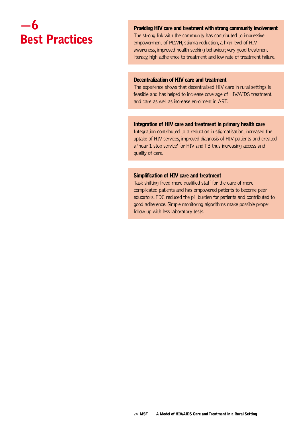### —6 Best Practices

Providing HIV care and treatment with strong community involvement

The strong link with the community has contributed to impressive empowerment of PLWH, stigma reduction, a high level of HIV awareness, improved health seeking behaviour, very good treatment literacy, high adherence to treatment and low rate of treatment failure.

#### Decentralization of HIV care and treatment

The experience shows that decentralised HIV care in rural settings is feasible and has helped to increase coverage of HIV/AIDS treatment and care as well as increase enrolment in ART.

#### Integration of HIV care and treatment in primary health care

Integration contributed to a reduction in stigmatisation, increased the uptake of HIV services, improved diagnosis of HIV patients and created a 'near 1 stop service' for HIV and TB thus increasing access and quality of care.

#### Simplification of HIV care and treatment

Task shifting freed more qualified staff for the care of more complicated patients and has empowered patients to become peer educators. FDC reduced the pill burden for patients and contributed to good adherence. Simple monitoring algorithms make possible proper follow up with less laboratory tests.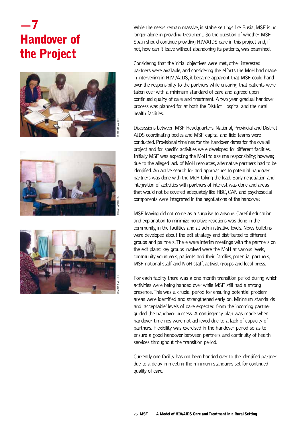## —7 Handover of the Project







While the needs remain massive, in stable settings like Busia, MSF is no longer alone in providing treatment. So the question of whether MSF Spain should continue providing HIV/AIDS care in this project and, if not, how can it leave without abandoning its patients, was examined.

Considering that the initial objectives were met, other interested partners were available, and considering the efforts the MoH had made in intervening in HIV /AIDS, it became apparent that MSF could hand over the responsibility to the partners while ensuring that patients were taken over with a minimum standard of care and agreed upon continued quality of care and treatment. A two year gradual handover process was planned for at both the District Hospital and the rural health facilities.

Discussions between MSF Headquarters, National, Provincial and District AIDS coordinating bodies and MSF capital and field teams were conducted. Provisional timelines for the handover dates for the overall project and for specific activities were developed for different facilities. Initially MSF was expecting the MoH to assume responsibility; however, due to the alleged lack of MoH resources, alternative partners had to be identified. An active search for and approaches to potential handover partners was done with the MoH taking the lead. Early negotiation and integration of activities with partners of interest was done and areas that would not be covered adequately like HBC, CAN and psychosocial components were integrated in the negotiations of the handover.

MSF leaving did not come as a surprise to anyone. Careful education and explanation to minimize negative reactions was done in the community, in the facilities and at administrative levels. News bulletins were developed about the exit strategy and distributed to different groups and partners. There were interim meetings with the partners on the exit plans: key groups involved were the MoH at various levels, community volunteers, patients and their families, potential partners, MSF national staff and MoH staff, activist groups and local press.

For each facility there was a one month transition period during which activities were being handed over while MSF still had a strong presence. This was a crucial period for ensuring potential problem areas were identified and strengthened early on. Minimum standards and 'acceptable' levels of care expected from the incoming partner guided the handover process. A contingency plan was made when handover timelines were not achieved due to a lack of capacity of partners. Flexibility was exercised in the handover period so as to ensure a good handover between partners and continuity of health services throughout the transition period.

Currently one facility has not been handed over to the identified partner due to a delay in meeting the minimum standards set for continued quality of care.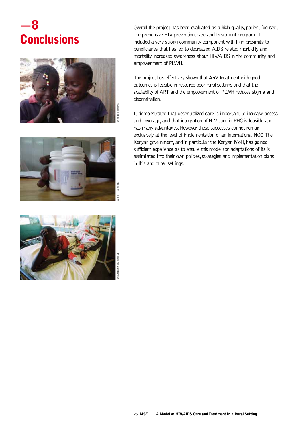### —8 **Conclusions**







Overall the project has been evaluated as a high quality, patient focused, comprehensive HIV prevention, care and treatment program. It included a very strong community component with high proximity to beneficiaries that has led to decreased AIDS related morbidity and mortality, increased awareness about HIV/AIDS in the community and empowerment of PLWH.

The project has effectively shown that ARV treatment with good outcomes is feasible in resource poor rural settings and that the availability of ART and the empowerment of PLWH reduces stigma and discrimination.

It demonstrated that decentralized care is important to increase access and coverage, and that integration of HIV care in PHC is feasible and has many advantages. However, these successes cannot remain exclusively at the level of implementation of an international NGO. The Kenyan government, and in particular the Kenyan MoH, has gained sufficient experience as to ensure this model (or adaptations of it) is assimilated into their own policies, strategies and implementation plans in this and other settings.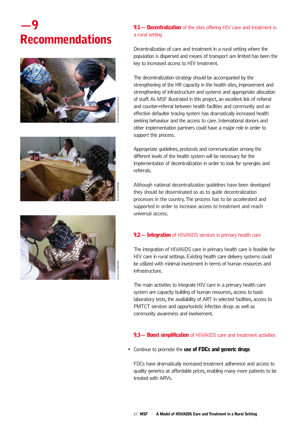### —9 Recommendations







### 9.1 – Decentralization of the sites offering HIV care and treatment in a rural setting

Decentralization of care and treatment in a rural setting where the population is dispersed and means of transport are limited has been the key to increased access to HIV treatment.

The decentralization strategy should be accompanied by the strengthening of the HR capacity in the health sites, improvement and strengthening of infrastructure and systems and appropriate allocation of staff. As MSF illustrated in this project, an excellent link of referral and counter-referral between health facilities and community and an effective defaulter tracing system has dramatically increased health seeking behaviour and the access to care. International donors and other implementation partners could have a major role in order to support this process.

Appropriate guidelines, protocols and communication among the different levels of the health system will be necessary for the implementation of decentralization in order to look for synergies and referrals.

Although national decentralization guidelines have been developed they should be disseminated so as to guide decentralization processes in the country. The process has to be accelerated and supported in order to increase access to treatment and reach universal access.

#### 9.2 - Integration of HIV/AIDS services in primary health care

The integration of HIV/AIDS care in primary health care is feasible for HIV care in rural settings. Existing health care delivery systems could be utilized with minimal investment in terms of human resources and infrastructure.

The main activities to integrate HIV care in a primary health care system are capacity building of human resources, access to basic laboratory tests, the availability of ART in selected facilities, access to PMTCT services and opportunistic infection drugs as well as community awareness and involvement.

#### 9.3 – Boost simplification of HIV/AIDS care and treatment activities

• Continue to promote the use of FDCs and generic drugs

FDCs have dramatically increased treatment adherence and access to quality generics at affordable prices, enabling many more patients to be treated with ARVs.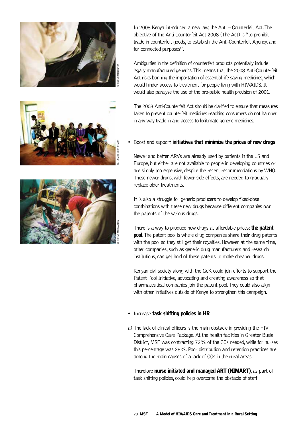





In 2008 Kenya introduced a new law, the Anti – Counterfeit Act. The objective of the Anti-Counterfeit Act 2008 (The Act) is "to prohibit trade in counterfeit goods, to establish the Anti-Counterfeit Agency, and for connected purposes".

Ambiguities in the definition of counterfeit products potentially include legally manufactured generics. This means that the 2008 Anti-Counterfeit Act risks banning the importation of essential life-saving medicines, which would hinder access to treatment for people living with HIV/AIDS. It would also paralyse the use of the pro-public health provision of 2001.

The 2008 Anti-Counterfeit Act should be clarified to ensure that measures taken to prevent counterfeit medicines reaching consumers do not hamper in any way trade in and access to legitimate generic medicines.

#### Boost and support initiatives that minimize the prices of new drugs

Newer and better ARVs are already used by patients in the US and Europe, but either are not available to people in developing countries or are simply too expensive, despite the recent recommendations by WHO. These newer drugs, with fewer side effects, are needed to gradually replace older treatments.

It is also a struggle for generic producers to develop fixed-dose combinations with these new drugs because different companies own the patents of the various drugs.

There is a way to produce new drugs at affordable prices: **the patent pool.** The patent pool is where drug companies share their drug patents with the pool so they still get their royalties. However at the same time, other companies, such as generic drug manufacturers and research institutions, can get hold of these patents to make cheaper drugs.

Kenyan civil society along with the GoK could join efforts to support the Patent Pool Initiative, advocating and creating awareness so that pharmaceutical companies join the patent pool. They could also align with other initiatives outside of Kenya to strengthen this campaign.

#### • Increase task shifting policies in HR

a) The lack of clinical officers is the main obstacle in providing the HIV Comprehensive Care Package. At the health facilities in Greater Busia District, MSF was contracting 72% of the COs needed, while for nurses this percentage was 28%. Poor distribution and retention practices are among the main causes of a lack of COs in the rural areas.

Therefore nurse initiated and managed ART (NIMART), as part of task shifting policies, could help overcome the obstacle of staff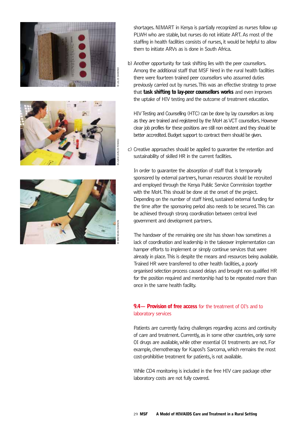





shortages. NIMART in Kenya is partially recognized as nurses follow up PLWH who are stable, but nurses do not initiate ART. As most of the staffing in health facilities consists of nurses, it would be helpful to allow them to initiate ARVs as is done in South Africa.

b) Another opportunity for task shifting lies with the peer counsellors. Among the additional staff that MSF hired in the rural health facilities there were fourteen trained peer counsellors who assumed duties previously carried out by nurses. This was an effective strategy to prove that task shifting to lay-peer counsellors works and even improves the uptake of HIV testing and the outcome of treatment education.

HIV Testing and Counselling (HTC) can be done by lay counsellors as long as they are trained and registered by the MoH as VCT counsellors. However clear job profiles for these positions are still non existent and they should be better accredited. Budget support to contract them should be given.

c) Creative approaches should be applied to guarantee the retention and sustainability of skilled HR in the current facilities.

In order to guarantee the absorption of staff that is temporarily sponsored by external partners, human resources should be recruited and employed through the Kenya Public Service Commission together with the MoH. This should be done at the onset of the project. Depending on the number of staff hired, sustained external funding for the time after the sponsoring period also needs to be secured. This can be achieved through strong coordination between central level government and development partners.

The handover of the remaining one site has shown how sometimes a lack of coordination and leadership in the takeover implementation can hamper efforts to implement or simply continue services that were already in place. This is despite the means and resources being available. Trained HR were transferred to other health facilities, a poorly organised selection process caused delays and brought non qualified HR for the position required and mentorship had to be repeated more than once in the same health facility.

#### 9.4— Provision of free access for the treatment of OI's and to laboratory services

Patients are currently facing challenges regarding access and continuity of care and treatment. Currently, as in some other countries, only some OI drugs are available, while other essential OI treatments are not. For example, chemotherapy for Kaposi's Sarcoma, which remains the most cost-prohibitive treatment for patients, is not available.

While CD4 monitoring is included in the free HIV care package other laboratory costs are not fully covered.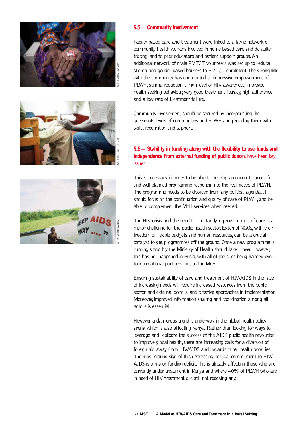





#### 9.5— Community involvement

Facility based care and treatment were linked to a large network of community health workers involved in home based care and defaulter tracing, and to peer educators and patient support groups. An additional network of male PMTCT volunteers was set up to reduce stigma and gender based barriers to PMTCT enrolment. The strong link with the community has contributed to impressive empowerment of PLWH, stigma reduction, a high level of HIV awareness, improved health seeking behaviour, very good treatment literacy, high adherence and a low rate of treatment failure.

Community involvement should be secured by incorporating the grassroots levels of communities and PLWH and providing them with skills, recognition and support.

#### 9.6— Stability in funding along with the flexibility to use funds and **independence from external funding of public donors** have been key issues.

This is necessary in order to be able to develop a coherent, successful and well planned programme responding to the real needs of PLWH. The programme needs to be divorced from any political agenda. It should focus on the continuation and quality of care of PLWH, and be able to complement the MoH services when needed.

The HIV crisis and the need to constantly improve models of care is a major challenge for the public health sector. External NGOs, with their freedom of flexible budgets and human resources, can be a crucial catalyst to get programmes off the ground. Once a new programme is running smoothly the Ministry of Health should take it over. However, this has not happened in Busia, with all of the sites being handed over to international partners, not to the MoH.

Ensuring sustainability of care and treatment of HIV/AIDS in the face of increasing needs will require increased resources from the public sector and external donors, and creative approaches in implementation. Moreover, improved information sharing and coordination among all actors is essential.

However a dangerous trend is underway in the global health policy arena which is also affecting Kenya. Rather than looking for ways to leverage and replicate the success of the AIDS public health revolution to improve global health, there are increasing calls for a diversion of foreign aid away from HIV/AIDS and towards other health priorities. The most glaring sign of this decreasing political commitment to HIV/ AIDS is a major funding deficit. This is already affecting those who are currently under treatment in Kenya and where 40% of PLWH who are in need of HIV treatment are still not receiving any.